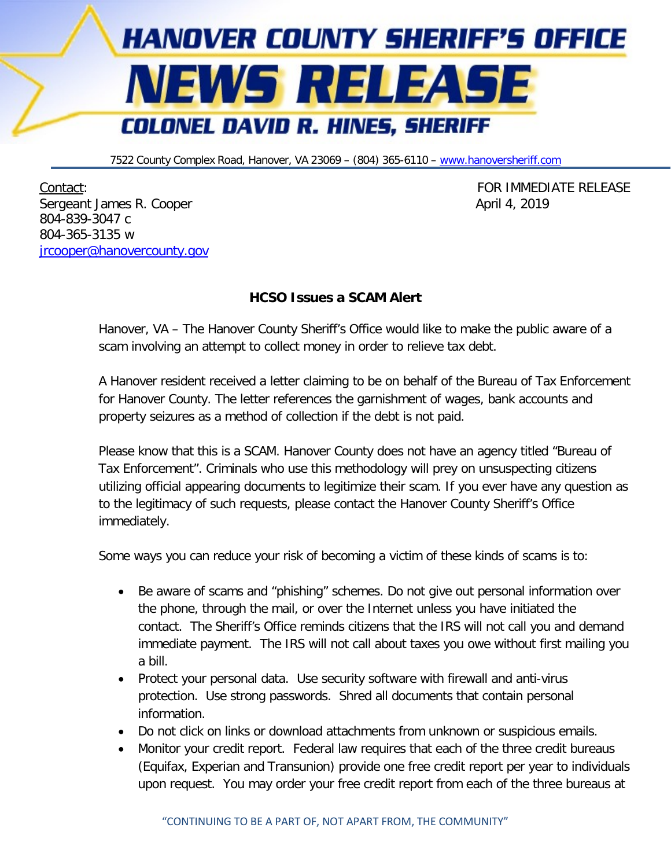

7522 County Complex Road, Hanover, VA 23069 – (804) 365-6110 – [www.hanoversheriff.com](http://www.hanoversheriff.com/)

Contact: FOR IMMEDIATE RELEASE Sergeant James R. Cooper April 4, 2019 804-839-3047 c 804-365-3135 w [jrcooper@hanovercounty.gov](mailto:jrcooper@hanovercounty.gov)

## **HCSO Issues a SCAM Alert**

Hanover, VA – The Hanover County Sheriff's Office would like to make the public aware of a scam involving an attempt to collect money in order to relieve tax debt.

A Hanover resident received a letter claiming to be on behalf of the Bureau of Tax Enforcement for Hanover County. The letter references the garnishment of wages, bank accounts and property seizures as a method of collection if the debt is not paid.

Please know that this is a SCAM. Hanover County does not have an agency titled "Bureau of Tax Enforcement". Criminals who use this methodology will prey on unsuspecting citizens utilizing official appearing documents to legitimize their scam. If you ever have any question as to the legitimacy of such requests, please contact the Hanover County Sheriff's Office immediately.

Some ways you can reduce your risk of becoming a victim of these kinds of scams is to:

- Be aware of scams and "phishing" schemes. Do not give out personal information over the phone, through the mail, or over the Internet unless you have initiated the contact. The Sheriff's Office reminds citizens that the IRS will not call you and demand immediate payment. The IRS will not call about taxes you owe without first mailing you a bill.
- Protect your personal data. Use security software with firewall and anti-virus protection. Use strong passwords. Shred all documents that contain personal information.
- Do not click on links or download attachments from unknown or suspicious emails.
- Monitor your credit report. Federal law requires that each of the three credit bureaus (Equifax, Experian and Transunion) provide one free credit report per year to individuals upon request. You may order your free credit report from each of the three bureaus at